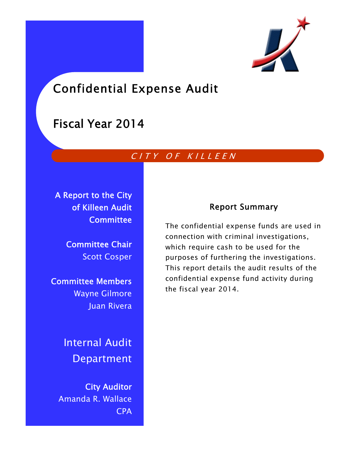

# Confidential Expense Audit

# Fiscal Year 2014

## CITY OF KILLEEN

A Report to the City of Killeen Audit **Committee** 

> Committee Chair Scott Cosper

Committee Members Wayne Gilmore Juan Rivera

> Internal Audit Department

City Auditor Amanda R. Wallace CPA

## Report Summary

The confidential expense funds are used in connection with criminal investigations, which require cash to be used for the purposes of furthering the investigations. This report details the audit results of the confidential expense fund activity during the fiscal year 2014.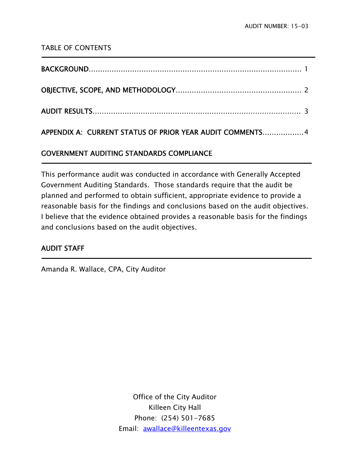### TABLE OF CONTENTS

| APPENDIX A: CURRENT STATUS OF PRIOR YEAR AUDIT COMMENTS 4 |  |
|-----------------------------------------------------------|--|

## GOVERNMENT AUDITING STANDARDS COMPLIANCE

This performance audit was conducted in accordance with Generally Accepted Government Auditing Standards. Those standards require that the audit be planned and performed to obtain sufficient, appropriate evidence to provide a reasonable basis for the findings and conclusions based on the audit objectives. I believe that the evidence obtained provides a reasonable basis for the findings and conclusions based on the audit objectives.

## AUDIT STAFF

j

Ĭ.

Amanda R. Wallace, CPA, City Auditor

Office of the City Auditor Killeen City Hall Phone: (254) 501-7685 Email: awallace@killeentexas.gov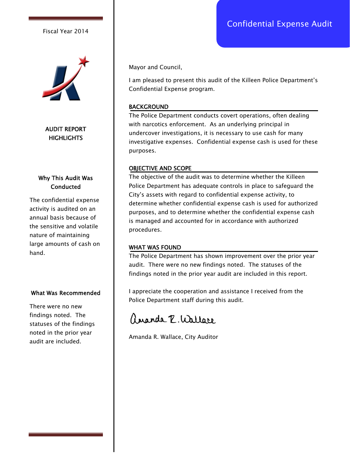## Confidential Expense Audit

#### Fiscal Year 2014



AUDIT REPORT **HIGHLIGHTS** 

#### Why This Audit Was **Conducted**

The confidential expense activity is audited on an annual basis because of the sensitive and volatile nature of maintaining large amounts of cash on hand.

#### What Was Recommended

There were no new findings noted. The statuses of the findings noted in the prior year audit are included.

Mayor and Council,

I am pleased to present this audit of the Killeen Police Department's Confidential Expense program.

#### BACKGROUND

The Police Department conducts covert operations, often dealing with narcotics enforcement. As an underlying principal in undercover investigations, it is necessary to use cash for many investigative expenses. Confidential expense cash is used for these purposes.

#### OBJECTIVE AND SCOPE

The objective of the audit was to determine whether the Killeen Police Department has adequate controls in place to safeguard the City's assets with regard to confidential expense activity, to determine whether confidential expense cash is used for authorized purposes, and to determine whether the confidential expense cash is managed and accounted for in accordance with authorized procedures.

#### WHAT WAS FOUND

The Police Department has shown improvement over the prior year audit. There were no new findings noted. The statuses of the findings noted in the prior year audit are included in this report.

I appreciate the cooperation and assistance I received from the Police Department staff during this audit.

angola P. Wallare

Amanda R. Wallace, City Auditor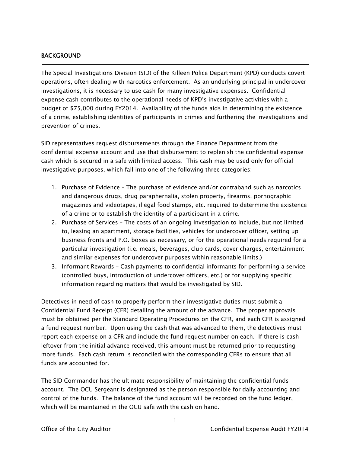#### BACKGROUND

j

The Special Investigations Division (SID) of the Killeen Police Department (KPD) conducts covert operations, often dealing with narcotics enforcement. As an underlying principal in undercover investigations, it is necessary to use cash for many investigative expenses. Confidential expense cash contributes to the operational needs of KPD's investigative activities with a budget of \$75,000 during FY2014. Availability of the funds aids in determining the existence of a crime, establishing identities of participants in crimes and furthering the investigations and prevention of crimes.

SID representatives request disbursements through the Finance Department from the confidential expense account and use that disbursement to replenish the confidential expense cash which is secured in a safe with limited access. This cash may be used only for official investigative purposes, which fall into one of the following three categories:

- 1. Purchase of Evidence The purchase of evidence and/or contraband such as narcotics and dangerous drugs, drug paraphernalia, stolen property, firearms, pornographic magazines and videotapes, illegal food stamps, etc. required to determine the existence of a crime or to establish the identity of a participant in a crime.
- 2. Purchase of Services The costs of an ongoing investigation to include, but not limited to, leasing an apartment, storage facilities, vehicles for undercover officer, setting up business fronts and P.O. boxes as necessary, or for the operational needs required for a particular investigation (i.e. meals, beverages, club cards, cover charges, entertainment and similar expenses for undercover purposes within reasonable limits.)
- 3. Informant Rewards Cash payments to confidential informants for performing a service (controlled buys, introduction of undercover officers, etc.) or for supplying specific information regarding matters that would be investigated by SID.

Detectives in need of cash to properly perform their investigative duties must submit a Confidential Fund Receipt (CFR) detailing the amount of the advance. The proper approvals must be obtained per the Standard Operating Procedures on the CFR, and each CFR is assigned a fund request number. Upon using the cash that was advanced to them, the detectives must report each expense on a CFR and include the fund request number on each. If there is cash leftover from the initial advance received, this amount must be returned prior to requesting more funds. Each cash return is reconciled with the corresponding CFRs to ensure that all funds are accounted for.

The SID Commander has the ultimate responsibility of maintaining the confidential funds account. The OCU Sergeant is designated as the person responsible for daily accounting and control of the funds. The balance of the fund account will be recorded on the fund ledger, which will be maintained in the OCU safe with the cash on hand.

1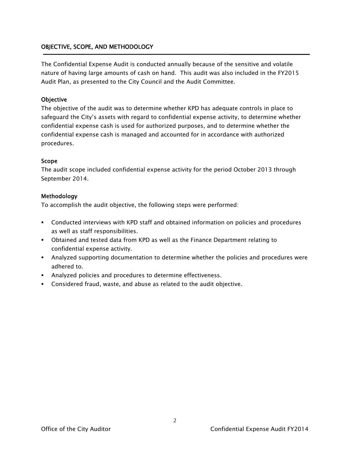#### OBJECTIVE, SCOPE, AND METHODOLOGY

The Confidential Expense Audit is conducted annually because of the sensitive and volatile nature of having large amounts of cash on hand. This audit was also included in the FY2015 Audit Plan, as presented to the City Council and the Audit Committee.

#### **Objective**

The objective of the audit was to determine whether KPD has adequate controls in place to safeguard the City's assets with regard to confidential expense activity, to determine whether confidential expense cash is used for authorized purposes, and to determine whether the confidential expense cash is managed and accounted for in accordance with authorized procedures.

#### Scope

The audit scope included confidential expense activity for the period October 2013 through September 2014.

#### Methodology

To accomplish the audit objective, the following steps were performed:

- Conducted interviews with KPD staff and obtained information on policies and procedures as well as staff responsibilities.
- Obtained and tested data from KPD as well as the Finance Department relating to confidential expense activity.
- Analyzed supporting documentation to determine whether the policies and procedures were adhered to.
- Analyzed policies and procedures to determine effectiveness.
- Considered fraud, waste, and abuse as related to the audit objective.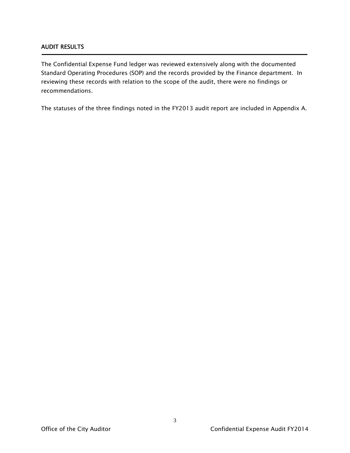#### AUDIT RESULTS

Ī

The Confidential Expense Fund ledger was reviewed extensively along with the documented Standard Operating Procedures (SOP) and the records provided by the Finance department. In reviewing these records with relation to the scope of the audit, there were no findings or recommendations.

The statuses of the three findings noted in the FY2013 audit report are included in Appendix A.